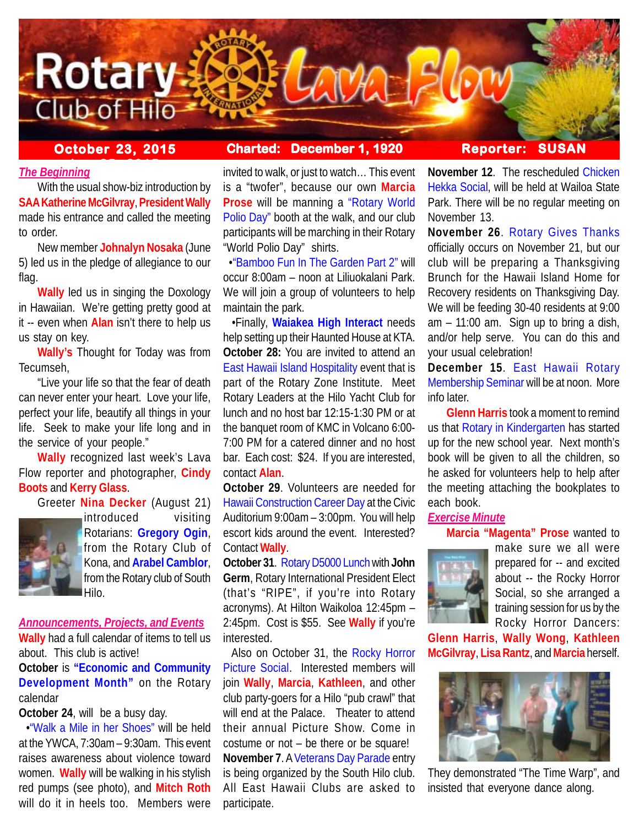

# **October 23, 2015 Charted: December 1, 1920 Reporter: SUSAN**

# **The Beginning**

With the usual show-biz introduction by **SAA Katherine McGilvray**, **President Wally** made his entrance and called the meeting to order.

New member **Johnalyn Nosaka** (June 5) led us in the pledge of allegiance to our flag.

**Wally** led us in singing the Doxology in Hawaiian. We're getting pretty good at it -- even when **Alan** isn't there to help us us stay on key.

**Wally's** Thought for Today was from Tecumseh,

"Live your life so that the fear of death can never enter your heart. Love your life, perfect your life, beautify all things in your life. Seek to make your life long and in the service of your people."

**Wally** recognized last week's Lava Flow reporter and photographer, **Cindy Boots** and **Kerry Glass**.

Greeter **Nina Decker** (August 21)



introduced visiting Rotarians: **Gregory Ogin**, from the Rotary Club of Kona, and **Arabel Camblor**, from the Rotary club of South Hilo.

*Announcements, Projects, and Events*

**Wally** had a full calendar of items to tell us about. This club is active!

**October** is **"Economic and Community Development Month"** on the Rotary calendar

**October 24**, will be a busy day.

 •"Walk a Mile in her Shoes" will be held at the YWCA, 7:30am – 9:30am. This event raises awareness about violence toward women. **Wally** will be walking in his stylish red pumps (see photo), and **Mitch Roth** will do it in heels too. Members were

invited to walk, or just to watch… This event is a "twofer", because our own **Marcia Prose** will be manning a "Rotary World Polio Day" booth at the walk, and our club participants will be marching in their Rotary "World Polio Day" shirts.

 •"Bamboo Fun In The Garden Part 2" will occur 8:00am – noon at Liliuokalani Park. We will join a group of volunteers to help maintain the park.

 •Finally, **Waiakea High Interact** needs help setting up their Haunted House at KTA. **October 28:** You are invited to attend an East Hawaii Island Hospitality event that is part of the Rotary Zone Institute. Meet Rotary Leaders at the Hilo Yacht Club for lunch and no host bar 12:15-1:30 PM or at the banquet room of KMC in Volcano 6:00- 7:00 PM for a catered dinner and no host bar. Each cost: \$24. If you are interested, contact **Alan**.

**October 29**. Volunteers are needed for Hawaii Construction Career Day at the Civic Auditorium 9:00am – 3:00pm. You will help escort kids around the event. Interested? Contact **Wally**.

**October 31**. Rotary D5000 Lunch with **John Germ**, Rotary International President Elect (that's "RIPE", if you're into Rotary acronyms). At Hilton Waikoloa 12:45pm – 2:45pm. Cost is \$55. See **Wally** if you're interested.

 Also on October 31, the Rocky Horror Picture Social. Interested members will join **Wally**, **Marcia**, **Kathleen**, and other club party-goers for a Hilo "pub crawl" that will end at the Palace. Theater to attend their annual Picture Show. Come in costume or not – be there or be square! **November 7**. A Veterans Day Parade entry is being organized by the South Hilo club. All East Hawaii Clubs are asked to participate.

**November 12**. The rescheduled Chicken Hekka Social, will be held at Wailoa State Park. There will be no regular meeting on November 13.

**November 26**. Rotary Gives Thanks officially occurs on November 21, but our club will be preparing a Thanksgiving Brunch for the Hawaii Island Home for Recovery residents on Thanksgiving Day. We will be feeding 30-40 residents at 9:00 am – 11:00 am. Sign up to bring a dish, and/or help serve. You can do this and your usual celebration!

**December 15**. East Hawaii Rotary Membership Seminar will be at noon. More info later.

**Glenn Harris** took a moment to remind us that Rotary in Kindergarten has started up for the new school year. Next month's book will be given to all the children, so he asked for volunteers help to help after the meeting attaching the bookplates to each book.

# *Exercise Minute*

**Marcia "Magenta" Prose** wanted to



make sure we all were prepared for -- and excited about -- the Rocky Horror Social, so she arranged a training session for us by the Rocky Horror Dancers:

**Glenn Harris**, **Wally Wong**, **Kathleen McGilvray**, **Lisa Rantz**, and **Marcia** herself.



They demonstrated "The Time Warp", and insisted that everyone dance along.